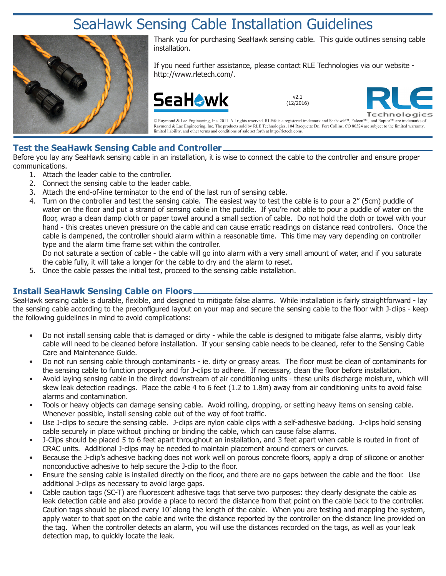# SeaHawk Sensing Cable Installation Guidelines



Thank you for purchasing SeaHawk sensing cable. This guide outlines sensing cable installation.

If you need further assistance, please contact RLE Technologies via our website http://www.rletech.com/.



v2.1 (12/2016)



© Raymond & Lae Engineering, Inc. 2011. All rights reserved. RLE® is a registered trademark and Seahawk™, Falcon™, and Raptor™ are trademarks of Raymond & Lae Engineering, Inc. The products sold by RLE Technologies, 104 Racquette Dr., Fort Collins, CO 80524 are subject to the limited warranty, limited liability, and other terms and conditions of sale set forth at http://rletech.com/.

#### **Test the SeaHawk Sensing Cable and Controller**

Before you lay any SeaHawk sensing cable in an installation, it is wise to connect the cable to the controller and ensure proper communications.

- 1. Attach the leader cable to the controller.
- 2. Connect the sensing cable to the leader cable.
- 3. Attach the end-of-line terminator to the end of the last run of sensing cable.
- 4. Turn on the controller and test the sensing cable. The easiest way to test the cable is to pour a 2" (5cm) puddle of water on the floor and put a strand of sensing cable in the puddle. If you're not able to pour a puddle of water on the floor, wrap a clean damp cloth or paper towel around a small section of cable. Do not hold the cloth or towel with your hand - this creates uneven pressure on the cable and can cause erratic readings on distance read controllers. Once the cable is dampened, the controller should alarm within a reasonable time. This time may vary depending on controller type and the alarm time frame set within the controller.

Do not saturate a section of cable - the cable will go into alarm with a very small amount of water, and if you saturate the cable fully, it will take a longer for the cable to dry and the alarm to reset.

5. Once the cable passes the initial test, proceed to the sensing cable installation.

### **Install SeaHawk Sensing Cable on Floors**

SeaHawk sensing cable is durable, flexible, and designed to mitigate false alarms. While installation is fairly straightforward - lay the sensing cable according to the preconfigured layout on your map and secure the sensing cable to the floor with J-clips - keep the following guidelines in mind to avoid complications:

- Do not install sensing cable that is damaged or dirty while the cable is designed to mitigate false alarms, visibly dirty cable will need to be cleaned before installation. If your sensing cable needs to be cleaned, refer to the Sensing Cable Care and Maintenance Guide.
- Do not run sensing cable through contaminants ie. dirty or greasy areas. The floor must be clean of contaminants for the sensing cable to function properly and for J-clips to adhere. If necessary, clean the floor before installation.
- Avoid laying sensing cable in the direct downstream of air conditioning units these units discharge moisture, which will skew leak detection readings. Place the cable 4 to 6 feet (1.2 to 1.8m) away from air conditioning units to avoid false alarms and contamination.
- Tools or heavy objects can damage sensing cable. Avoid rolling, dropping, or setting heavy items on sensing cable. Whenever possible, install sensing cable out of the way of foot traffic.
- Use J-clips to secure the sensing cable. J-clips are nylon cable clips with a self-adhesive backing. J-clips hold sensing cable securely in place without pinching or binding the cable, which can cause false alarms.
- J-Clips should be placed 5 to 6 feet apart throughout an installation, and 3 feet apart when cable is routed in front of CRAC units. Additional J-clips may be needed to maintain placement around corners or curves.
- Because the J-clip's adhesive backing does not work well on porous concrete floors, apply a drop of silicone or another nonconductive adhesive to help secure the J-clip to the floor.
- Ensure the sensing cable is installed directly on the floor, and there are no gaps between the cable and the floor. Use additional J-clips as necessary to avoid large gaps.
- Cable caution tags (SC-T) are fluorescent adhesive tags that serve two purposes: they clearly designate the cable as leak detection cable and also provide a place to record the distance from that point on the cable back to the controller. Caution tags should be placed every 10' along the length of the cable. When you are testing and mapping the system, apply water to that spot on the cable and write the distance reported by the controller on the distance line provided on the tag. When the controller detects an alarm, you will use the distances recorded on the tags, as well as your leak detection map, to quickly locate the leak.